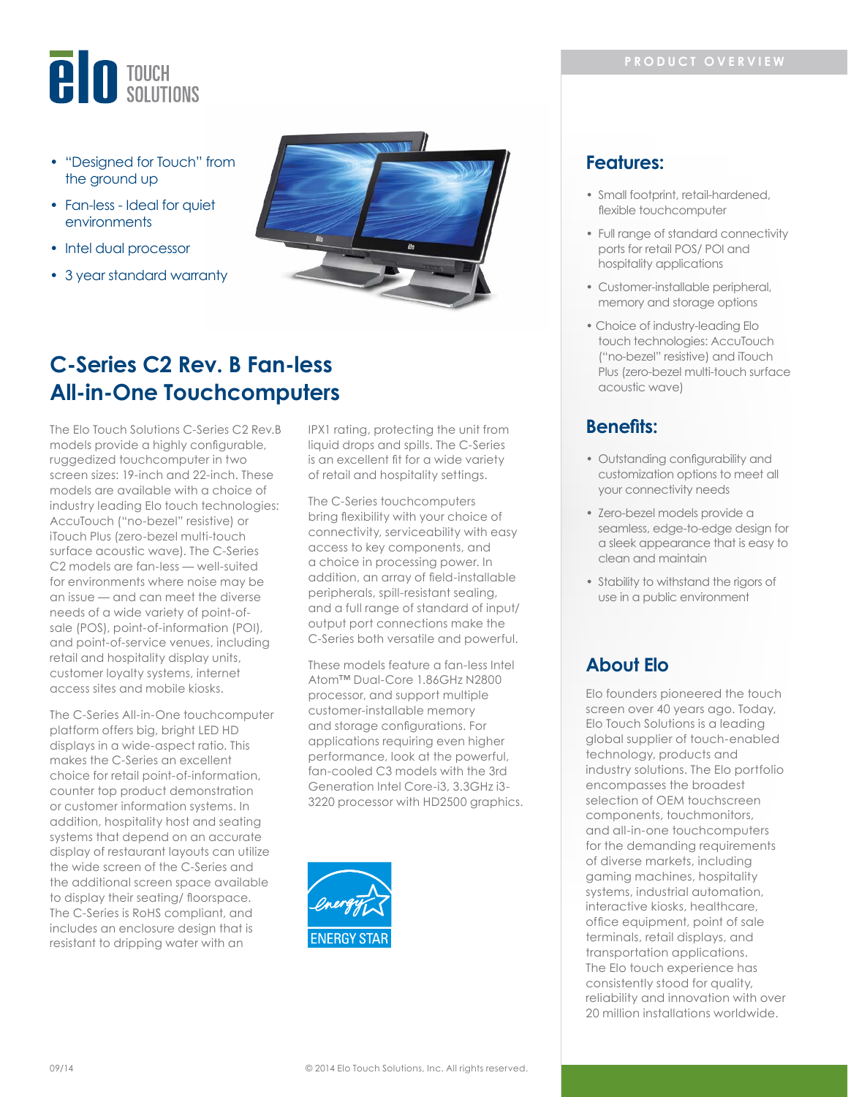# **BIO** TOUCH

- "Designed for Touch" from the ground up
- Fan-less Ideal for quiet environments
- Intel dual processor
- 3 year standard warranty



# **C-Series C2 Rev. B Fan-less All-in-One Touchcomputers**

The Elo Touch Solutions C-Series C2 Rev.B models provide a highly configurable, ruggedized touchcomputer in two screen sizes: 19-inch and 22-inch. These models are available with a choice of industry leading Elo touch technologies: AccuTouch ("no-bezel" resistive) or iTouch Plus (zero-bezel multi-touch surface acoustic wave). The C-Series C2 models are fan-less — well-suited for environments where noise may be an issue — and can meet the diverse needs of a wide variety of point-ofsale (POS), point-of-information (POI), and point-of-service venues, including retail and hospitality display units, customer loyalty systems, internet access sites and mobile kiosks.

The C-Series All-in-One touchcomputer platform offers big, bright LED HD displays in a wide-aspect ratio. This makes the C-Series an excellent choice for retail point-of-information, counter top product demonstration or customer information systems. In addition, hospitality host and seating systems that depend on an accurate display of restaurant layouts can utilize the wide screen of the C-Series and the additional screen space available to display their seating/ floorspace. The C-Series is RoHS compliant, and includes an enclosure design that is resistant to dripping water with an

IPX1 rating, protecting the unit from liquid drops and spills. The C-Series is an excellent fit for a wide variety of retail and hospitality settings.

The C-Series touchcomputers bring flexibility with your choice of connectivity, serviceability with easy access to key components, and a choice in processing power. In addition, an array of field-installable peripherals, spill-resistant sealing, and a full range of standard of input/ output port connections make the C-Series both versatile and powerful.

These models feature a fan-less Intel Atom™ Dual-Core 1.86GHz N2800 processor, and support multiple customer-installable memory and storage configurations. For applications requiring even higher performance, look at the powerful, fan-cooled C3 models with the 3rd Generation Intel Core-i3, 3.3GHz i3- 3220 processor with HD2500 graphics.



## **Features:**

- Small footprint, retail-hardened, flexible touchcomputer
- Full range of standard connectivity ports for retail POS/ POI and hospitality applications
- Customer-installable peripheral, memory and storage options
- Choice of industry-leading Elo touch technologies: AccuTouch ("no-bezel" resistive) and iTouch Plus (zero-bezel multi-touch surface acoustic wave)

## **Benefits:**

- Outstanding configurability and customization options to meet all your connectivity needs
- Zero-bezel models provide a seamless, edge-to-edge design for a sleek appearance that is easy to clean and maintain
- Stability to withstand the rigors of use in a public environment

# **About Elo**

Elo founders pioneered the touch screen over 40 years ago. Today, Elo Touch Solutions is a leading global supplier of touch-enabled technology, products and industry solutions. The Elo portfolio encompasses the broadest selection of OEM touchscreen components, touchmonitors, and all-in-one touchcomputers for the demanding requirements of diverse markets, including gaming machines, hospitality systems, industrial automation, interactive kiosks, healthcare, office equipment, point of sale terminals, retail displays, and transportation applications. The Elo touch experience has consistently stood for quality, reliability and innovation with over 20 million installations worldwide.